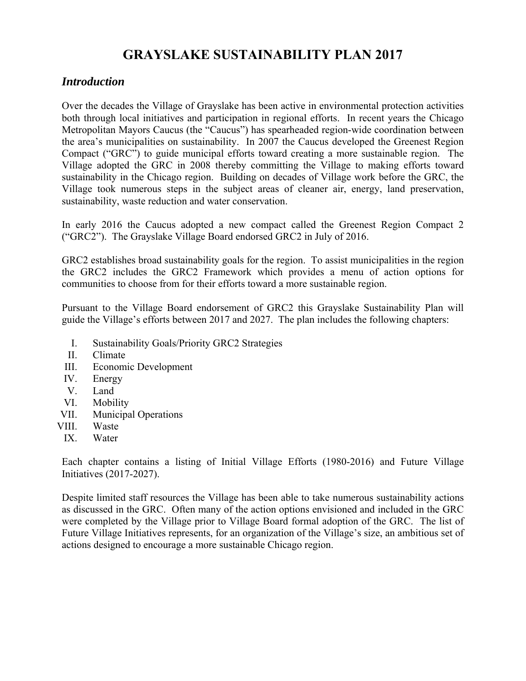## **GRAYSLAKE SUSTAINABILITY PLAN 2017**

#### *Introduction*

Over the decades the Village of Grayslake has been active in environmental protection activities both through local initiatives and participation in regional efforts. In recent years the Chicago Metropolitan Mayors Caucus (the "Caucus") has spearheaded region-wide coordination between the area's municipalities on sustainability. In 2007 the Caucus developed the Greenest Region Compact ("GRC") to guide municipal efforts toward creating a more sustainable region. The Village adopted the GRC in 2008 thereby committing the Village to making efforts toward sustainability in the Chicago region. Building on decades of Village work before the GRC, the Village took numerous steps in the subject areas of cleaner air, energy, land preservation, sustainability, waste reduction and water conservation.

In early 2016 the Caucus adopted a new compact called the Greenest Region Compact 2 ("GRC2"). The Grayslake Village Board endorsed GRC2 in July of 2016.

GRC2 establishes broad sustainability goals for the region. To assist municipalities in the region the GRC2 includes the GRC2 Framework which provides a menu of action options for communities to choose from for their efforts toward a more sustainable region.

Pursuant to the Village Board endorsement of GRC2 this Grayslake Sustainability Plan will guide the Village's efforts between 2017 and 2027. The plan includes the following chapters:

- I. Sustainability Goals/Priority GRC2 Strategies
- II. Climate
- III. Economic Development
- IV. Energy
- V. Land
- VI. Mobility
- VII. Municipal Operations
- VIII. Waste
- IX. Water

Each chapter contains a listing of Initial Village Efforts (1980-2016) and Future Village Initiatives (2017-2027).

Despite limited staff resources the Village has been able to take numerous sustainability actions as discussed in the GRC. Often many of the action options envisioned and included in the GRC were completed by the Village prior to Village Board formal adoption of the GRC. The list of Future Village Initiatives represents, for an organization of the Village's size, an ambitious set of actions designed to encourage a more sustainable Chicago region.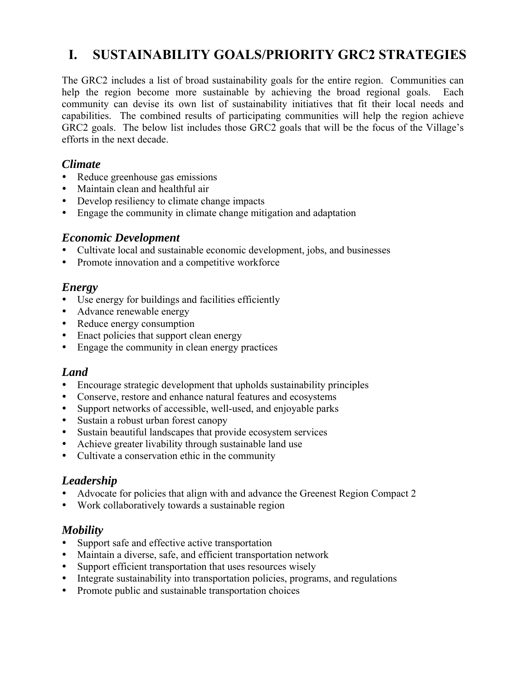# **I. SUSTAINABILITY GOALS/PRIORITY GRC2 STRATEGIES**

The GRC2 includes a list of broad sustainability goals for the entire region. Communities can help the region become more sustainable by achieving the broad regional goals. Each community can devise its own list of sustainability initiatives that fit their local needs and capabilities. The combined results of participating communities will help the region achieve GRC2 goals. The below list includes those GRC2 goals that will be the focus of the Village's efforts in the next decade.

#### *Climate*

- Reduce greenhouse gas emissions
- Maintain clean and healthful air
- Develop resiliency to climate change impacts
- Engage the community in climate change mitigation and adaptation

#### *Economic Development*

- Cultivate local and sustainable economic development, jobs, and businesses
- Promote innovation and a competitive workforce

#### *Energy*

- Use energy for buildings and facilities efficiently
- Advance renewable energy
- Reduce energy consumption
- Enact policies that support clean energy
- Engage the community in clean energy practices

#### *Land*

- Encourage strategic development that upholds sustainability principles
- Conserve, restore and enhance natural features and ecosystems
- Support networks of accessible, well-used, and enjoyable parks
- Sustain a robust urban forest canopy
- Sustain beautiful landscapes that provide ecosystem services
- Achieve greater livability through sustainable land use
- Cultivate a conservation ethic in the community

#### *Leadership*

- Advocate for policies that align with and advance the Greenest Region Compact 2
- Work collaboratively towards a sustainable region

#### *Mobility*

- Support safe and effective active transportation
- Maintain a diverse, safe, and efficient transportation network
- Support efficient transportation that uses resources wisely
- Integrate sustainability into transportation policies, programs, and regulations
- Promote public and sustainable transportation choices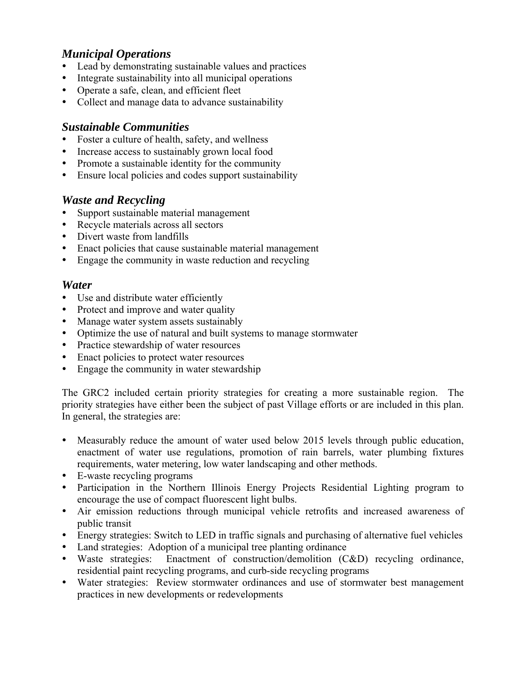## *Municipal Operations*

- Lead by demonstrating sustainable values and practices
- Integrate sustainability into all municipal operations
- Operate a safe, clean, and efficient fleet
- Collect and manage data to advance sustainability

#### *Sustainable Communities*

- Foster a culture of health, safety, and wellness
- Increase access to sustainably grown local food
- Promote a sustainable identity for the community
- Ensure local policies and codes support sustainability

### *Waste and Recycling*

- Support sustainable material management
- Recycle materials across all sectors
- Divert waste from landfills
- Enact policies that cause sustainable material management
- Engage the community in waste reduction and recycling

#### *Water*

- Use and distribute water efficiently
- Protect and improve and water quality
- Manage water system assets sustainably
- Optimize the use of natural and built systems to manage stormwater
- Practice stewardship of water resources
- Enact policies to protect water resources
- Engage the community in water stewardship

The GRC2 included certain priority strategies for creating a more sustainable region. The priority strategies have either been the subject of past Village efforts or are included in this plan. In general, the strategies are:

- Measurably reduce the amount of water used below 2015 levels through public education, enactment of water use regulations, promotion of rain barrels, water plumbing fixtures requirements, water metering, low water landscaping and other methods.
- E-waste recycling programs
- Participation in the Northern Illinois Energy Projects Residential Lighting program to encourage the use of compact fluorescent light bulbs.
- Air emission reductions through municipal vehicle retrofits and increased awareness of public transit
- Energy strategies: Switch to LED in traffic signals and purchasing of alternative fuel vehicles
- Land strategies: Adoption of a municipal tree planting ordinance
- Waste strategies: Enactment of construction/demolition (C&D) recycling ordinance, residential paint recycling programs, and curb-side recycling programs
- Water strategies: Review stormwater ordinances and use of stormwater best management practices in new developments or redevelopments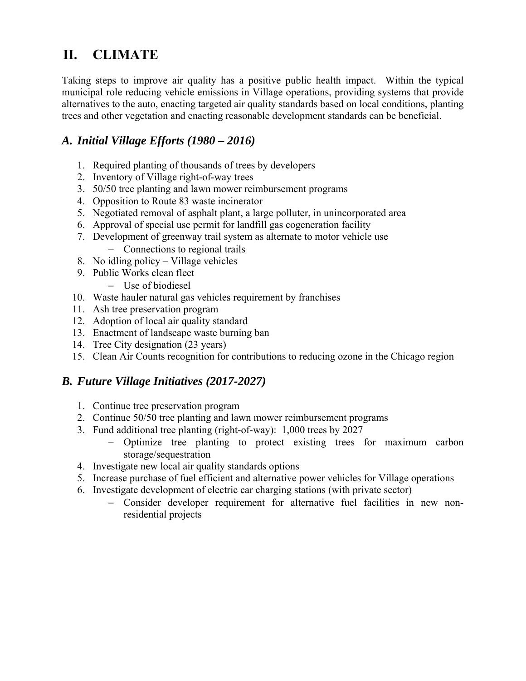# **II. CLIMATE**

Taking steps to improve air quality has a positive public health impact. Within the typical municipal role reducing vehicle emissions in Village operations, providing systems that provide alternatives to the auto, enacting targeted air quality standards based on local conditions, planting trees and other vegetation and enacting reasonable development standards can be beneficial.

## *A. Initial Village Efforts (1980 – 2016)*

- 1. Required planting of thousands of trees by developers
- 2. Inventory of Village right-of-way trees
- 3. 50/50 tree planting and lawn mower reimbursement programs
- 4. Opposition to Route 83 waste incinerator
- 5. Negotiated removal of asphalt plant, a large polluter, in unincorporated area
- 6. Approval of special use permit for landfill gas cogeneration facility
- 7. Development of greenway trail system as alternate to motor vehicle use
	- Connections to regional trails
- 8. No idling policy Village vehicles
- 9. Public Works clean fleet
	- Use of biodiesel
- 10. Waste hauler natural gas vehicles requirement by franchises
- 11. Ash tree preservation program
- 12. Adoption of local air quality standard
- 13. Enactment of landscape waste burning ban
- 14. Tree City designation (23 years)
- 15. Clean Air Counts recognition for contributions to reducing ozone in the Chicago region

- 1. Continue tree preservation program
- 2. Continue 50/50 tree planting and lawn mower reimbursement programs
- 3. Fund additional tree planting (right-of-way): 1,000 trees by 2027
	- Optimize tree planting to protect existing trees for maximum carbon storage/sequestration
- 4. Investigate new local air quality standards options
- 5. Increase purchase of fuel efficient and alternative power vehicles for Village operations
- 6. Investigate development of electric car charging stations (with private sector)
	- Consider developer requirement for alternative fuel facilities in new nonresidential projects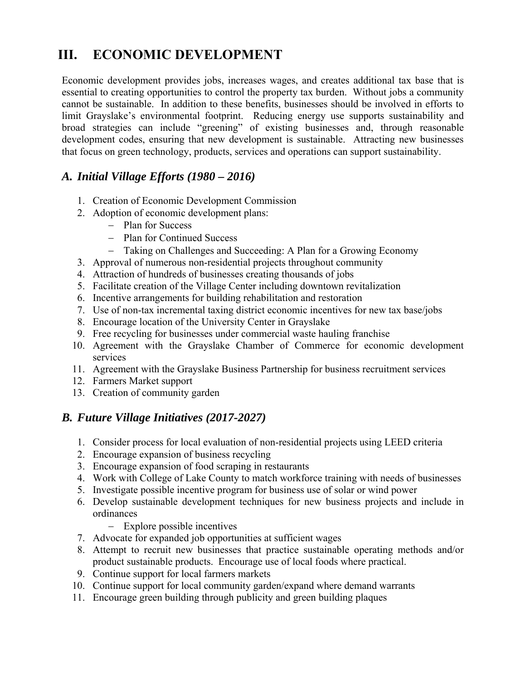# **III. ECONOMIC DEVELOPMENT**

Economic development provides jobs, increases wages, and creates additional tax base that is essential to creating opportunities to control the property tax burden. Without jobs a community cannot be sustainable. In addition to these benefits, businesses should be involved in efforts to limit Grayslake's environmental footprint. Reducing energy use supports sustainability and broad strategies can include "greening" of existing businesses and, through reasonable development codes, ensuring that new development is sustainable. Attracting new businesses that focus on green technology, products, services and operations can support sustainability.

### *A. Initial Village Efforts (1980 – 2016)*

- 1. Creation of Economic Development Commission
- 2. Adoption of economic development plans:
	- Plan for Success
	- Plan for Continued Success
	- Taking on Challenges and Succeeding: A Plan for a Growing Economy
- 3. Approval of numerous non-residential projects throughout community
- 4. Attraction of hundreds of businesses creating thousands of jobs
- 5. Facilitate creation of the Village Center including downtown revitalization
- 6. Incentive arrangements for building rehabilitation and restoration
- 7. Use of non-tax incremental taxing district economic incentives for new tax base/jobs
- 8. Encourage location of the University Center in Grayslake
- 9. Free recycling for businesses under commercial waste hauling franchise
- 10. Agreement with the Grayslake Chamber of Commerce for economic development services
- 11. Agreement with the Grayslake Business Partnership for business recruitment services
- 12. Farmers Market support
- 13. Creation of community garden

- 1. Consider process for local evaluation of non-residential projects using LEED criteria
- 2. Encourage expansion of business recycling
- 3. Encourage expansion of food scraping in restaurants
- 4. Work with College of Lake County to match workforce training with needs of businesses
- 5. Investigate possible incentive program for business use of solar or wind power
- 6. Develop sustainable development techniques for new business projects and include in ordinances
	- Explore possible incentives
- 7. Advocate for expanded job opportunities at sufficient wages
- 8. Attempt to recruit new businesses that practice sustainable operating methods and/or product sustainable products. Encourage use of local foods where practical.
- 9. Continue support for local farmers markets
- 10. Continue support for local community garden/expand where demand warrants
- 11. Encourage green building through publicity and green building plaques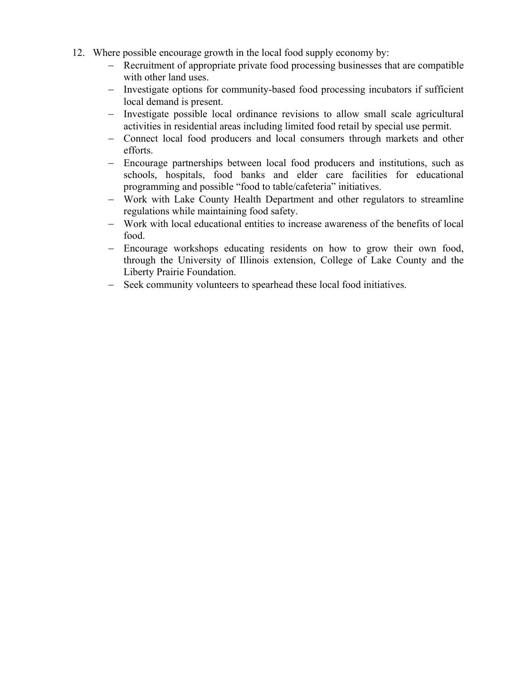- 12. Where possible encourage growth in the local food supply economy by:
	- Recruitment of appropriate private food processing businesses that are compatible with other land uses.
	- Investigate options for community-based food processing incubators if sufficient local demand is present.
	- Investigate possible local ordinance revisions to allow small scale agricultural activities in residential areas including limited food retail by special use permit.
	- Connect local food producers and local consumers through markets and other efforts.
	- Encourage partnerships between local food producers and institutions, such as schools, hospitals, food banks and elder care facilities for educational programming and possible "food to table/cafeteria" initiatives.
	- Work with Lake County Health Department and other regulators to streamline regulations while maintaining food safety.
	- Work with local educational entities to increase awareness of the benefits of local food.
	- Encourage workshops educating residents on how to grow their own food, through the University of Illinois extension, College of Lake County and the Liberty Prairie Foundation.
	- Seek community volunteers to spearhead these local food initiatives.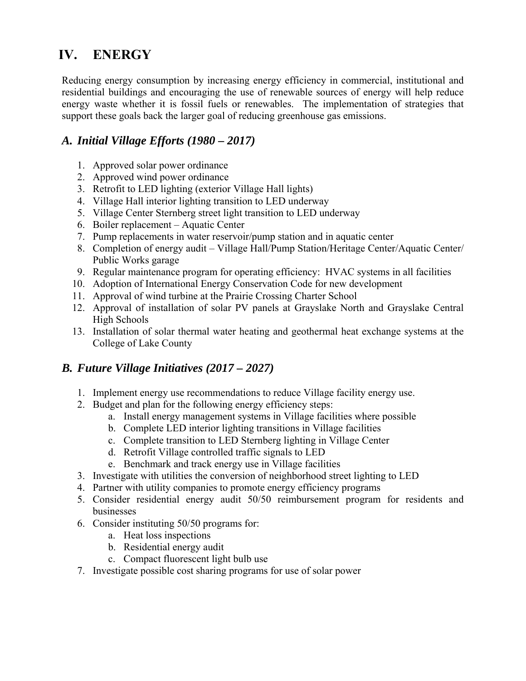# **IV. ENERGY**

Reducing energy consumption by increasing energy efficiency in commercial, institutional and residential buildings and encouraging the use of renewable sources of energy will help reduce energy waste whether it is fossil fuels or renewables. The implementation of strategies that support these goals back the larger goal of reducing greenhouse gas emissions.

## *A. Initial Village Efforts (1980 – 2017)*

- 1. Approved solar power ordinance
- 2. Approved wind power ordinance
- 3. Retrofit to LED lighting (exterior Village Hall lights)
- 4. Village Hall interior lighting transition to LED underway
- 5. Village Center Sternberg street light transition to LED underway
- 6. Boiler replacement Aquatic Center
- 7. Pump replacements in water reservoir/pump station and in aquatic center
- 8. Completion of energy audit Village Hall/Pump Station/Heritage Center/Aquatic Center/ Public Works garage
- 9. Regular maintenance program for operating efficiency: HVAC systems in all facilities
- 10. Adoption of International Energy Conservation Code for new development
- 11. Approval of wind turbine at the Prairie Crossing Charter School
- 12. Approval of installation of solar PV panels at Grayslake North and Grayslake Central High Schools
- 13. Installation of solar thermal water heating and geothermal heat exchange systems at the College of Lake County

- 1. Implement energy use recommendations to reduce Village facility energy use.
- 2. Budget and plan for the following energy efficiency steps:
	- a. Install energy management systems in Village facilities where possible
	- b. Complete LED interior lighting transitions in Village facilities
	- c. Complete transition to LED Sternberg lighting in Village Center
	- d. Retrofit Village controlled traffic signals to LED
	- e. Benchmark and track energy use in Village facilities
- 3. Investigate with utilities the conversion of neighborhood street lighting to LED
- 4. Partner with utility companies to promote energy efficiency programs
- 5. Consider residential energy audit 50/50 reimbursement program for residents and businesses
- 6. Consider instituting 50/50 programs for:
	- a. Heat loss inspections
	- b. Residential energy audit
	- c. Compact fluorescent light bulb use
- 7. Investigate possible cost sharing programs for use of solar power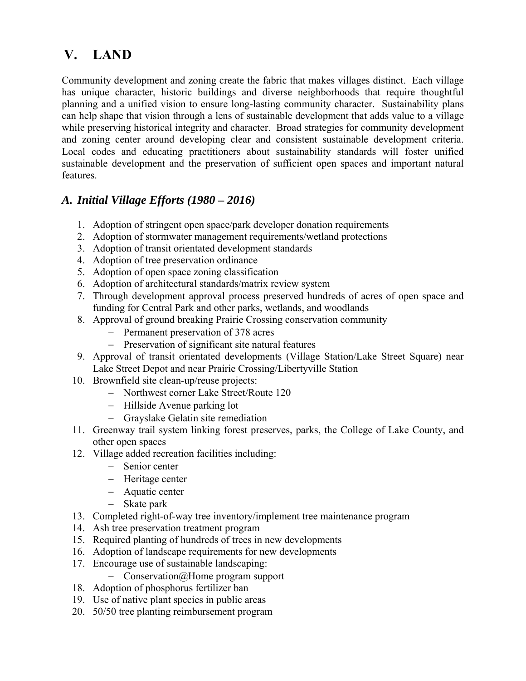# **V. LAND**

Community development and zoning create the fabric that makes villages distinct. Each village has unique character, historic buildings and diverse neighborhoods that require thoughtful planning and a unified vision to ensure long-lasting community character. Sustainability plans can help shape that vision through a lens of sustainable development that adds value to a village while preserving historical integrity and character. Broad strategies for community development and zoning center around developing clear and consistent sustainable development criteria. Local codes and educating practitioners about sustainability standards will foster unified sustainable development and the preservation of sufficient open spaces and important natural features.

## *A. Initial Village Efforts (1980 – 2016)*

- 1. Adoption of stringent open space/park developer donation requirements
- 2. Adoption of stormwater management requirements/wetland protections
- 3. Adoption of transit orientated development standards
- 4. Adoption of tree preservation ordinance
- 5. Adoption of open space zoning classification
- 6. Adoption of architectural standards/matrix review system
- 7. Through development approval process preserved hundreds of acres of open space and funding for Central Park and other parks, wetlands, and woodlands
- 8. Approval of ground breaking Prairie Crossing conservation community
	- Permanent preservation of 378 acres
	- Preservation of significant site natural features
- 9. Approval of transit orientated developments (Village Station/Lake Street Square) near Lake Street Depot and near Prairie Crossing/Libertyville Station
- 10. Brownfield site clean-up/reuse projects:
	- Northwest corner Lake Street/Route 120
	- Hillside Avenue parking lot
	- Grayslake Gelatin site remediation
- 11. Greenway trail system linking forest preserves, parks, the College of Lake County, and other open spaces
- 12. Village added recreation facilities including:
	- Senior center
	- Heritage center
	- Aquatic center
	- Skate park
- 13. Completed right-of-way tree inventory/implement tree maintenance program
- 14. Ash tree preservation treatment program
- 15. Required planting of hundreds of trees in new developments
- 16. Adoption of landscape requirements for new developments
- 17. Encourage use of sustainable landscaping:
	- Conservation@Home program support
- 18. Adoption of phosphorus fertilizer ban
- 19. Use of native plant species in public areas
- 20. 50/50 tree planting reimbursement program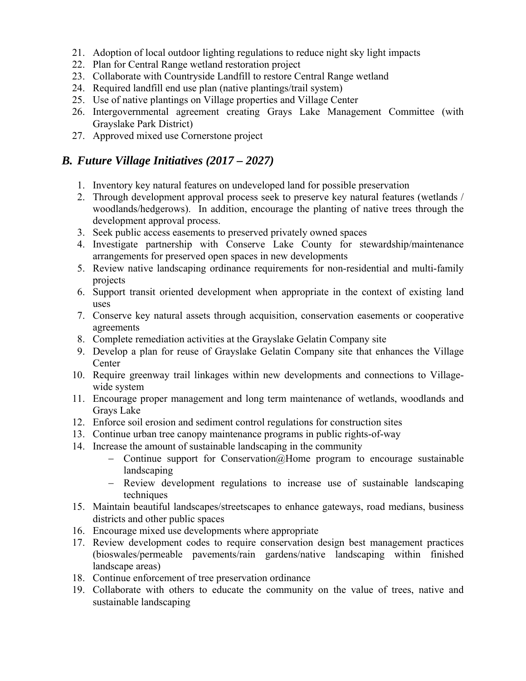- 21. Adoption of local outdoor lighting regulations to reduce night sky light impacts
- 22. Plan for Central Range wetland restoration project
- 23. Collaborate with Countryside Landfill to restore Central Range wetland
- 24. Required landfill end use plan (native plantings/trail system)
- 25. Use of native plantings on Village properties and Village Center
- 26. Intergovernmental agreement creating Grays Lake Management Committee (with Grayslake Park District)
- 27. Approved mixed use Cornerstone project

- 1. Inventory key natural features on undeveloped land for possible preservation
- 2. Through development approval process seek to preserve key natural features (wetlands / woodlands/hedgerows). In addition, encourage the planting of native trees through the development approval process.
- 3. Seek public access easements to preserved privately owned spaces
- 4. Investigate partnership with Conserve Lake County for stewardship/maintenance arrangements for preserved open spaces in new developments
- 5. Review native landscaping ordinance requirements for non-residential and multi-family projects
- 6. Support transit oriented development when appropriate in the context of existing land uses
- 7. Conserve key natural assets through acquisition, conservation easements or cooperative agreements
- 8. Complete remediation activities at the Grayslake Gelatin Company site
- 9. Develop a plan for reuse of Grayslake Gelatin Company site that enhances the Village Center
- 10. Require greenway trail linkages within new developments and connections to Villagewide system
- 11. Encourage proper management and long term maintenance of wetlands, woodlands and Grays Lake
- 12. Enforce soil erosion and sediment control regulations for construction sites
- 13. Continue urban tree canopy maintenance programs in public rights-of-way
- 14. Increase the amount of sustainable landscaping in the community
	- Continue support for Conservation  $(a)$  Home program to encourage sustainable landscaping
	- Review development regulations to increase use of sustainable landscaping techniques
- 15. Maintain beautiful landscapes/streetscapes to enhance gateways, road medians, business districts and other public spaces
- 16. Encourage mixed use developments where appropriate
- 17. Review development codes to require conservation design best management practices (bioswales/permeable pavements/rain gardens/native landscaping within finished landscape areas)
- 18. Continue enforcement of tree preservation ordinance
- 19. Collaborate with others to educate the community on the value of trees, native and sustainable landscaping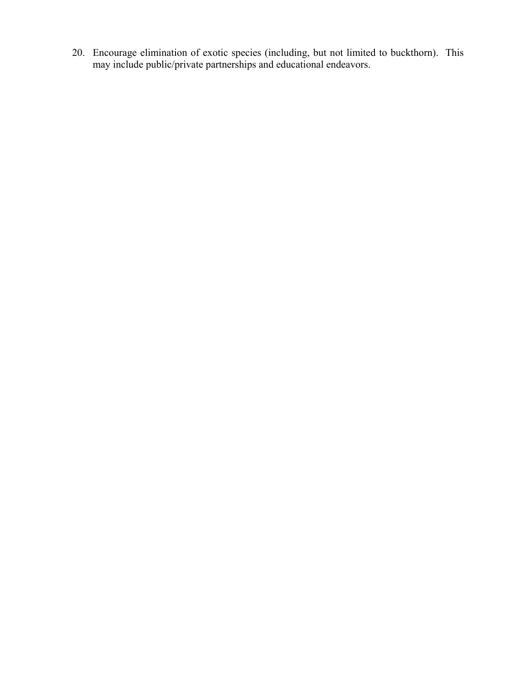20. Encourage elimination of exotic species (including, but not limited to buckthorn). This may include public/private partnerships and educational endeavors.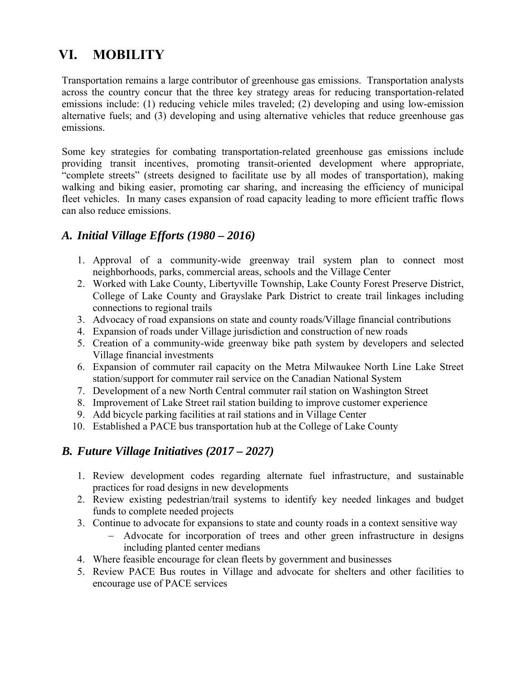# **VI. MOBILITY**

Transportation remains a large contributor of greenhouse gas emissions. Transportation analysts across the country concur that the three key strategy areas for reducing transportation-related emissions include: (1) reducing vehicle miles traveled; (2) developing and using low-emission alternative fuels; and (3) developing and using alternative vehicles that reduce greenhouse gas emissions.

Some key strategies for combating transportation-related greenhouse gas emissions include providing transit incentives, promoting transit-oriented development where appropriate, "complete streets" (streets designed to facilitate use by all modes of transportation), making walking and biking easier, promoting car sharing, and increasing the efficiency of municipal fleet vehicles. In many cases expansion of road capacity leading to more efficient traffic flows can also reduce emissions.

### *A. Initial Village Efforts (1980 – 2016)*

- 1. Approval of a community-wide greenway trail system plan to connect most neighborhoods, parks, commercial areas, schools and the Village Center
- 2. Worked with Lake County, Libertyville Township, Lake County Forest Preserve District, College of Lake County and Grayslake Park District to create trail linkages including connections to regional trails
- 3. Advocacy of road expansions on state and county roads/Village financial contributions
- 4. Expansion of roads under Village jurisdiction and construction of new roads
- 5. Creation of a community-wide greenway bike path system by developers and selected Village financial investments
- 6. Expansion of commuter rail capacity on the Metra Milwaukee North Line Lake Street station/support for commuter rail service on the Canadian National System
- 7. Development of a new North Central commuter rail station on Washington Street
- 8. Improvement of Lake Street rail station building to improve customer experience
- 9. Add bicycle parking facilities at rail stations and in Village Center
- 10. Established a PACE bus transportation hub at the College of Lake County

- 1. Review development codes regarding alternate fuel infrastructure, and sustainable practices for road designs in new developments
- 2. Review existing pedestrian/trail systems to identify key needed linkages and budget funds to complete needed projects
- 3. Continue to advocate for expansions to state and county roads in a context sensitive way
	- Advocate for incorporation of trees and other green infrastructure in designs including planted center medians
- 4. Where feasible encourage for clean fleets by government and businesses
- 5. Review PACE Bus routes in Village and advocate for shelters and other facilities to encourage use of PACE services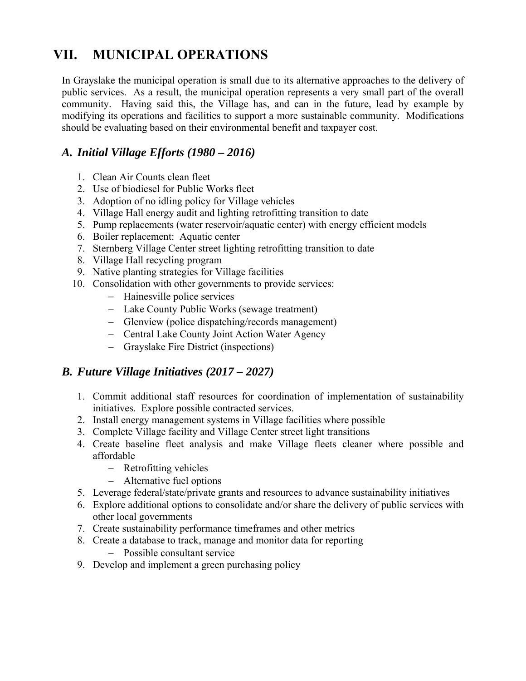# **VII. MUNICIPAL OPERATIONS**

In Grayslake the municipal operation is small due to its alternative approaches to the delivery of public services. As a result, the municipal operation represents a very small part of the overall community. Having said this, the Village has, and can in the future, lead by example by modifying its operations and facilities to support a more sustainable community. Modifications should be evaluating based on their environmental benefit and taxpayer cost.

## *A. Initial Village Efforts (1980 – 2016)*

- 1. Clean Air Counts clean fleet
- 2. Use of biodiesel for Public Works fleet
- 3. Adoption of no idling policy for Village vehicles
- 4. Village Hall energy audit and lighting retrofitting transition to date
- 5. Pump replacements (water reservoir/aquatic center) with energy efficient models
- 6. Boiler replacement: Aquatic center
- 7. Sternberg Village Center street lighting retrofitting transition to date
- 8. Village Hall recycling program
- 9. Native planting strategies for Village facilities
- 10. Consolidation with other governments to provide services:
	- Hainesville police services
	- Lake County Public Works (sewage treatment)
	- Glenview (police dispatching/records management)
	- Central Lake County Joint Action Water Agency
	- Grayslake Fire District (inspections)

- 1. Commit additional staff resources for coordination of implementation of sustainability initiatives. Explore possible contracted services.
- 2. Install energy management systems in Village facilities where possible
- 3. Complete Village facility and Village Center street light transitions
- 4. Create baseline fleet analysis and make Village fleets cleaner where possible and affordable
	- Retrofitting vehicles
	- Alternative fuel options
- 5. Leverage federal/state/private grants and resources to advance sustainability initiatives
- 6. Explore additional options to consolidate and/or share the delivery of public services with other local governments
- 7. Create sustainability performance timeframes and other metrics
- 8. Create a database to track, manage and monitor data for reporting
	- Possible consultant service
- 9. Develop and implement a green purchasing policy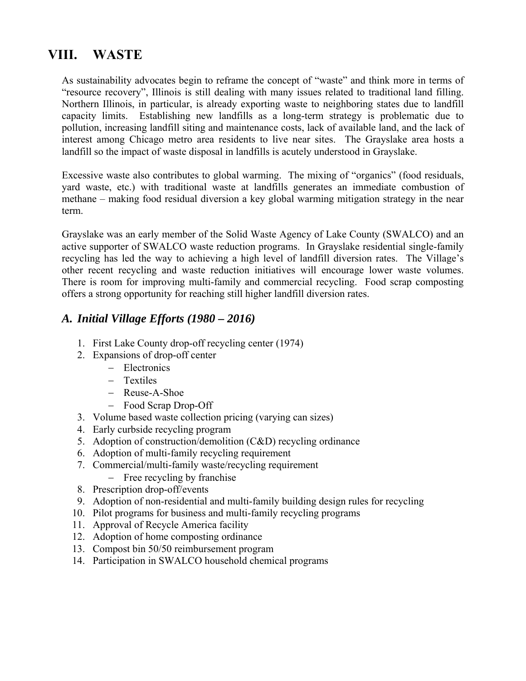# **VIII. WASTE**

As sustainability advocates begin to reframe the concept of "waste" and think more in terms of "resource recovery", Illinois is still dealing with many issues related to traditional land filling. Northern Illinois, in particular, is already exporting waste to neighboring states due to landfill capacity limits. Establishing new landfills as a long-term strategy is problematic due to pollution, increasing landfill siting and maintenance costs, lack of available land, and the lack of interest among Chicago metro area residents to live near sites. The Grayslake area hosts a landfill so the impact of waste disposal in landfills is acutely understood in Grayslake.

Excessive waste also contributes to global warming. The mixing of "organics" (food residuals, yard waste, etc.) with traditional waste at landfills generates an immediate combustion of methane – making food residual diversion a key global warming mitigation strategy in the near term.

Grayslake was an early member of the Solid Waste Agency of Lake County (SWALCO) and an active supporter of SWALCO waste reduction programs. In Grayslake residential single-family recycling has led the way to achieving a high level of landfill diversion rates. The Village's other recent recycling and waste reduction initiatives will encourage lower waste volumes. There is room for improving multi-family and commercial recycling. Food scrap composting offers a strong opportunity for reaching still higher landfill diversion rates.

### *A. Initial Village Efforts (1980 – 2016)*

- 1. First Lake County drop-off recycling center (1974)
- 2. Expansions of drop-off center
	- Electronics
	- Textiles
	- Reuse-A-Shoe
	- Food Scrap Drop-Off
- 3. Volume based waste collection pricing (varying can sizes)
- 4. Early curbside recycling program
- 5. Adoption of construction/demolition (C&D) recycling ordinance
- 6. Adoption of multi-family recycling requirement
- 7. Commercial/multi-family waste/recycling requirement
	- Free recycling by franchise
- 8. Prescription drop-off/events
- 9. Adoption of non-residential and multi-family building design rules for recycling
- 10. Pilot programs for business and multi-family recycling programs
- 11. Approval of Recycle America facility
- 12. Adoption of home composting ordinance
- 13. Compost bin 50/50 reimbursement program
- 14. Participation in SWALCO household chemical programs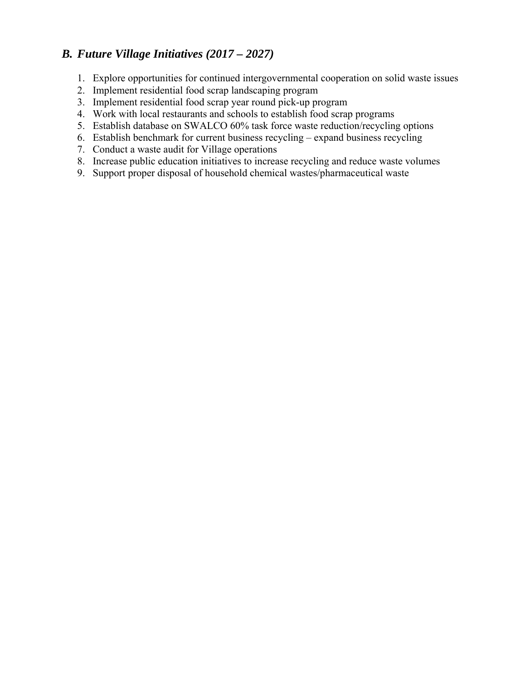- 1. Explore opportunities for continued intergovernmental cooperation on solid waste issues
- 2. Implement residential food scrap landscaping program
- 3. Implement residential food scrap year round pick-up program
- 4. Work with local restaurants and schools to establish food scrap programs
- 5. Establish database on SWALCO 60% task force waste reduction/recycling options
- 6. Establish benchmark for current business recycling expand business recycling
- 7. Conduct a waste audit for Village operations
- 8. Increase public education initiatives to increase recycling and reduce waste volumes
- 9. Support proper disposal of household chemical wastes/pharmaceutical waste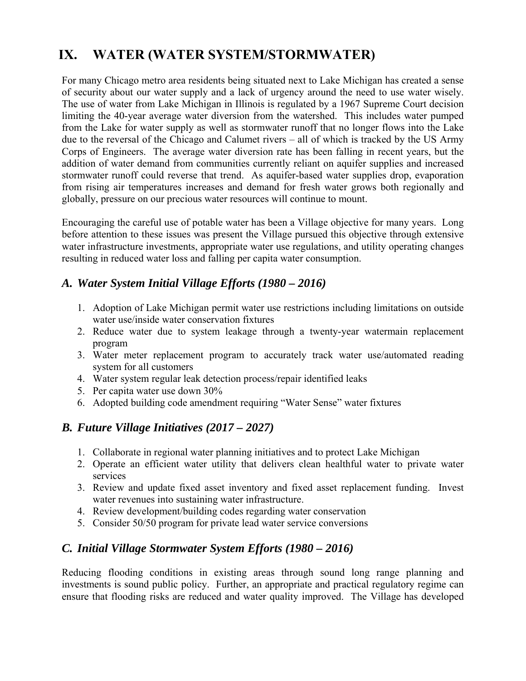# **IX. WATER (WATER SYSTEM/STORMWATER)**

For many Chicago metro area residents being situated next to Lake Michigan has created a sense of security about our water supply and a lack of urgency around the need to use water wisely. The use of water from Lake Michigan in Illinois is regulated by a 1967 Supreme Court decision limiting the 40-year average water diversion from the watershed. This includes water pumped from the Lake for water supply as well as stormwater runoff that no longer flows into the Lake due to the reversal of the Chicago and Calumet rivers – all of which is tracked by the US Army Corps of Engineers. The average water diversion rate has been falling in recent years, but the addition of water demand from communities currently reliant on aquifer supplies and increased stormwater runoff could reverse that trend. As aquifer-based water supplies drop, evaporation from rising air temperatures increases and demand for fresh water grows both regionally and globally, pressure on our precious water resources will continue to mount.

Encouraging the careful use of potable water has been a Village objective for many years. Long before attention to these issues was present the Village pursued this objective through extensive water infrastructure investments, appropriate water use regulations, and utility operating changes resulting in reduced water loss and falling per capita water consumption.

### *A. Water System Initial Village Efforts (1980 – 2016)*

- 1. Adoption of Lake Michigan permit water use restrictions including limitations on outside water use/inside water conservation fixtures
- 2. Reduce water due to system leakage through a twenty-year watermain replacement program
- 3. Water meter replacement program to accurately track water use/automated reading system for all customers
- 4. Water system regular leak detection process/repair identified leaks
- 5. Per capita water use down 30%
- 6. Adopted building code amendment requiring "Water Sense" water fixtures

### *B. Future Village Initiatives (2017 – 2027)*

- 1. Collaborate in regional water planning initiatives and to protect Lake Michigan
- 2. Operate an efficient water utility that delivers clean healthful water to private water services
- 3. Review and update fixed asset inventory and fixed asset replacement funding. Invest water revenues into sustaining water infrastructure.
- 4. Review development/building codes regarding water conservation
- 5. Consider 50/50 program for private lead water service conversions

## *C. Initial Village Stormwater System Efforts (1980 – 2016)*

Reducing flooding conditions in existing areas through sound long range planning and investments is sound public policy. Further, an appropriate and practical regulatory regime can ensure that flooding risks are reduced and water quality improved. The Village has developed